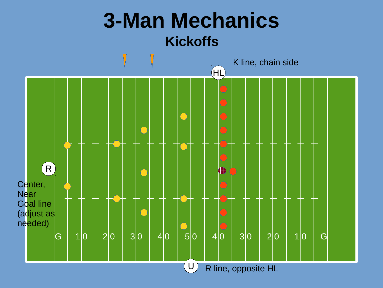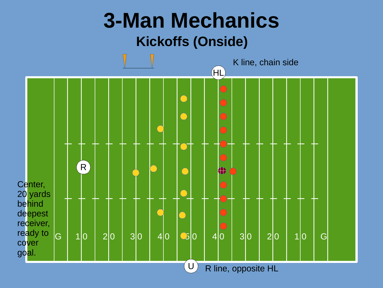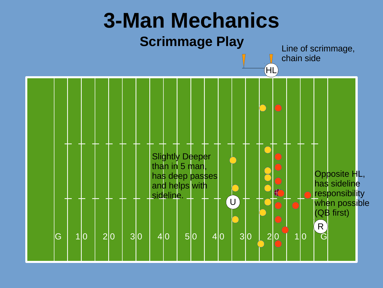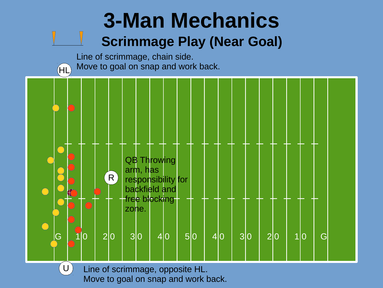## **3-Man Mechanics Scrimmage Play (Near Goal)**

Line of scrimmage, chain side. Move to goal on snap and work back.



Line of scrimmage, opposite HL. Move to goal on snap and work back.

 $\bigcup$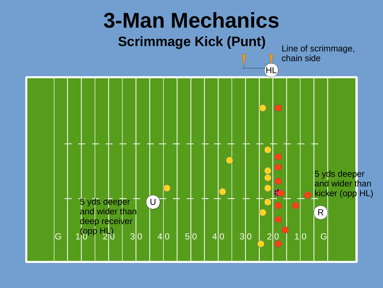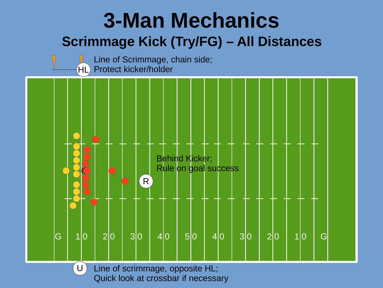





 $\dot{}$  U  $)$ Line of scrimmage, opposite HL; Quick look at crossbar if necessary